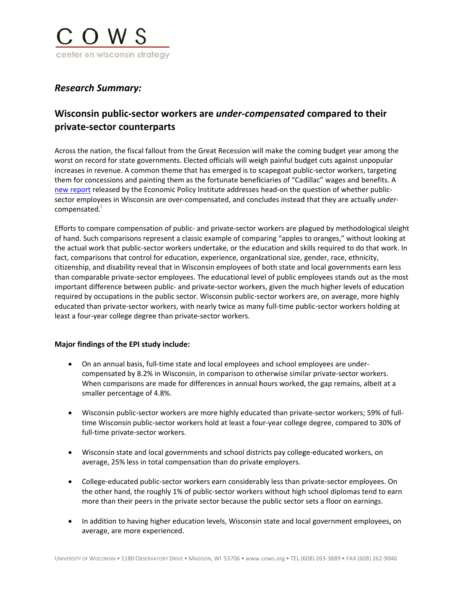

## **Research Summary:**

# Wisconsin public-sector workers are *under-compensated* compared to their private-sector counterparts

Across the nation, the fiscal fallout from the Great Recession will make the coming budget year among the worst on record for state governments. Elected officials will weigh painful budget cuts against unpopular increases in revenue. A common theme that has emerged is to scapegoat public-sector workers, targeting them for concessions and painting them as the fortunate beneficiaries of "Cadillac" wages and benefits. A new report released by the Economic Policy Institute addresses head-on the question of whether publicsector employees in Wisconsin are over-compensated, and concludes instead that they are actually undercompensated.

Efforts to compare compensation of public- and private-sector workers are plagued by methodological sleight of hand. Such comparisons represent a classic example of comparing "apples to oranges," without looking at the actual work that public-sector workers undertake, or the education and skills required to do that work. In fact, comparisons that control for education, experience, organizational size, gender, race, ethnicity, citizenship, and disability reveal that in Wisconsin employees of both state and local governments earn less than comparable private-sector employees. The educational level of public employees stands out as the most important difference between public- and private-sector workers, given the much higher levels of education required by occupations in the public sector. Wisconsin public-sector workers are, on average, more highly educated than private-sector workers, with nearly twice as many full-time public-sector workers holding at least a four-year college degree than private-sector workers.

### Major findings of the EPI study include:

- On an annual basis, full-time state and local employees and school employees are undercompensated by 8.2% in Wisconsin, in comparison to otherwise similar private-sector workers. When comparisons are made for differences in annual hours worked, the gap remains, albeit at a smaller percentage of 4.8%.
- Wisconsin public-sector workers are more highly educated than private-sector workers; 59% of fulltime Wisconsin public-sector workers hold at least a four-year college degree, compared to 30% of full-time private-sector workers.
- Wisconsin state and local governments and school districts pay college-educated workers, on average, 25% less in total compensation than do private employers.
- College-educated public-sector workers earn considerably less than private-sector employees. On the other hand, the roughly 1% of public-sector workers without high school diplomas tend to earn more than their peers in the private sector because the public sector sets a floor on earnings.
- In addition to having higher education levels, Wisconsin state and local government employees, on average, are more experienced.